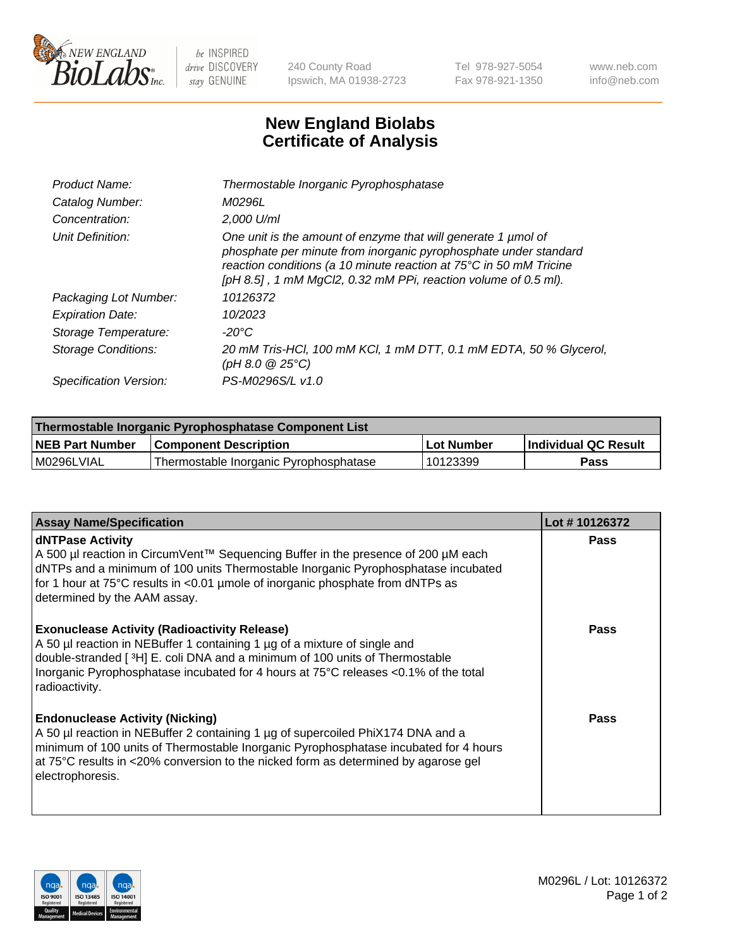

 $be$  INSPIRED drive DISCOVERY stay GENUINE

240 County Road Ipswich, MA 01938-2723 Tel 978-927-5054 Fax 978-921-1350 www.neb.com info@neb.com

## **New England Biolabs Certificate of Analysis**

| Product Name:              | Thermostable Inorganic Pyrophosphatase                                                                                                                                                                                                                                    |
|----------------------------|---------------------------------------------------------------------------------------------------------------------------------------------------------------------------------------------------------------------------------------------------------------------------|
| Catalog Number:            | <i>M0296L</i>                                                                                                                                                                                                                                                             |
| Concentration:             | $2.000$ U/ml                                                                                                                                                                                                                                                              |
| Unit Definition:           | One unit is the amount of enzyme that will generate 1 µmol of<br>phosphate per minute from inorganic pyrophosphate under standard<br>reaction conditions (a 10 minute reaction at 75°C in 50 mM Tricine<br>[pH 8.5], 1 mM MgCl2, 0.32 mM PPi, reaction volume of 0.5 ml). |
| Packaging Lot Number:      | 10126372                                                                                                                                                                                                                                                                  |
| <b>Expiration Date:</b>    | 10/2023                                                                                                                                                                                                                                                                   |
| Storage Temperature:       | $-20^{\circ}$ C                                                                                                                                                                                                                                                           |
| <b>Storage Conditions:</b> | 20 mM Tris-HCl, 100 mM KCl, 1 mM DTT, 0.1 mM EDTA, 50 % Glycerol,<br>(pH 8.0 $@25°C$ )                                                                                                                                                                                    |
| Specification Version:     | PS-M0296S/L v1.0                                                                                                                                                                                                                                                          |

| Thermostable Inorganic Pyrophosphatase Component List |                                        |              |                      |  |
|-------------------------------------------------------|----------------------------------------|--------------|----------------------|--|
| NEB Part Number                                       | <b>Component Description</b>           | l Lot Number | Individual QC Result |  |
| l M0296LVIAL                                          | Thermostable Inorganic Pyrophosphatase | 10123399     | Pass                 |  |

| <b>Assay Name/Specification</b>                                                                                                                                                                                                                                                                                             | Lot #10126372 |
|-----------------------------------------------------------------------------------------------------------------------------------------------------------------------------------------------------------------------------------------------------------------------------------------------------------------------------|---------------|
| <b>dNTPase Activity</b><br>A 500 µl reaction in CircumVent™ Sequencing Buffer in the presence of 200 µM each<br>dNTPs and a minimum of 100 units Thermostable Inorganic Pyrophosphatase incubated<br>for 1 hour at 75°C results in <0.01 µmole of inorganic phosphate from dNTPs as<br>determined by the AAM assay.         | <b>Pass</b>   |
| <b>Exonuclease Activity (Radioactivity Release)</b><br>A 50 µl reaction in NEBuffer 1 containing 1 µg of a mixture of single and<br>double-stranded [3H] E. coli DNA and a minimum of 100 units of Thermostable<br>Inorganic Pyrophosphatase incubated for 4 hours at 75°C releases <0.1% of the total<br>radioactivity.    | Pass          |
| <b>Endonuclease Activity (Nicking)</b><br>A 50 µl reaction in NEBuffer 2 containing 1 µg of supercoiled PhiX174 DNA and a<br>minimum of 100 units of Thermostable Inorganic Pyrophosphatase incubated for 4 hours<br>at 75°C results in <20% conversion to the nicked form as determined by agarose gel<br>electrophoresis. | <b>Pass</b>   |